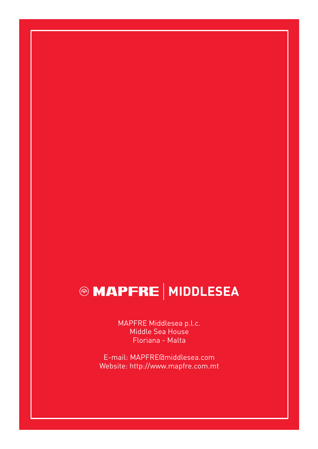# **@ MAPFRE | MIDDLESEA**

MAPFRE Middlesea p.l.c. Middle Sea House Floriana - Malta

E-mail: MAPFRE@middlesea.com Website: http://www.mapfre.com.mt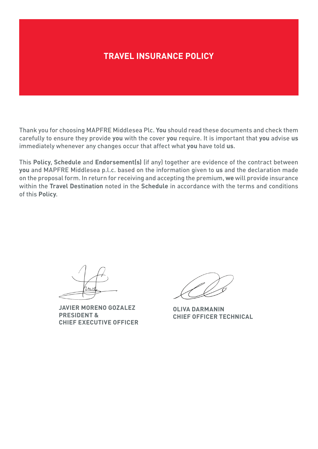# **TRAVEL INSURANCE POLICY**

Thank you for choosing MAPFRE Middlesea Plc. **You** should read these documents and check them carefully to ensure they provide **you** with the cover **you** require. It is important that **you** advise **us** immediately whenever any changes occur that affect what **you** have told **us**.

This **Policy**, **Schedule** and **Endorsement(s)** (if any) together are evidence of the contract between **you** and MAPFRE Middlesea p.l.c. based on the information given to **us** and the declaration made on the proposal form. In return for receiving and accepting the premium, **we** will provide insurance within the **Travel Destination** noted in the **Schedule** in accordance with the terms and conditions of this **Policy**.

**JAVIER MORENO GOZALEZ PRESIDENT & CHIEF EXECUTIVE OFFICER**

**OLIVA DARMANIN CHIEF OFFICER TECHNICAL**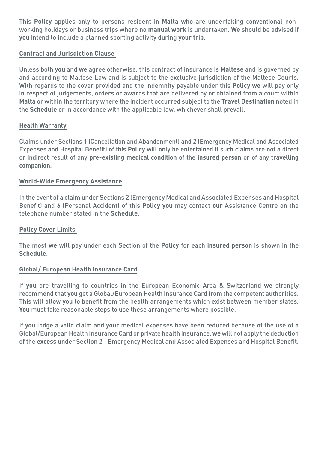This **Policy** applies only to persons resident in **Malta** who are undertaking conventional nonworking holidays or business trips where no **manual work** is undertaken. **We** should be advised if **you** intend to include a planned sporting activity during **your trip**.

# **Contract and Jurisdiction Clause**

Unless both **you** and **we** agree otherwise, this contract of insurance is **Maltese** and is governed by and according to Maltese Law and is subject to the exclusive jurisdiction of the Maltese Courts. With regards to the cover provided and the indemnity payable under this **Policy we** will pay only in respect of judgements, orders or awards that are delivered by or obtained from a court within **Malta** or within the territory where the incident occurred subject to the **Travel Destination** noted in the **Schedule** or in accordance with the applicable law, whichever shall prevail.

# **Health Warranty**

Claims under Sections 1 (Cancellation and Abandonment) and 2 (Emergency Medical and Associated Expenses and Hospital Benefit) of this **Policy** will only be entertained if such claims are not a direct or indirect result of any **pre‑existing medical condition** of the **insured person** or of any **travelling companion**.

# **World-Wide Emergency Assistance**

In the event of a claim under Sections 2 (Emergency Medical and Associated Expenses and Hospital Benefit) and 6 (Personal Accident) of this **Policy you** may contact **our** Assistance Centre on the telephone number stated in the **Schedule**.

# **Policy Cover Limits**

The most **we** will pay under each Section of the **Policy** for each **insured person** is shown in the **Schedule**.

# **Global/ European Health Insurance Card**

If **you** are travelling to countries in the European Economic Area & Switzerland **we** strongly recommend that **you** get a Global/European Health Insurance Card from the competent authorities. This will allow **you** to benefit from the health arrangements which exist between member states. **You** must take reasonable steps to use these arrangements where possible.

If **you** lodge a valid claim and **your** medical expenses have been reduced because of the use of a Global/European Health Insurance Card or private health insurance, **we** will not apply the deduction of the **excess** under Section 2 - Emergency Medical and Associated Expenses and Hospital Benefit.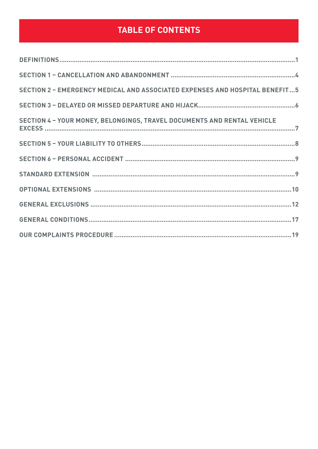# **TABLE OF CONTENTS**

| <b>SECTION 2 - EMERGENCY MEDICAL AND ASSOCIATED EXPENSES AND HOSPITAL BENEFIT5</b> |
|------------------------------------------------------------------------------------|
|                                                                                    |
| SECTION 4 - YOUR MONEY, BELONGINGS, TRAVEL DOCUMENTS AND RENTAL VEHICLE            |
|                                                                                    |
|                                                                                    |
|                                                                                    |
|                                                                                    |
|                                                                                    |
|                                                                                    |
|                                                                                    |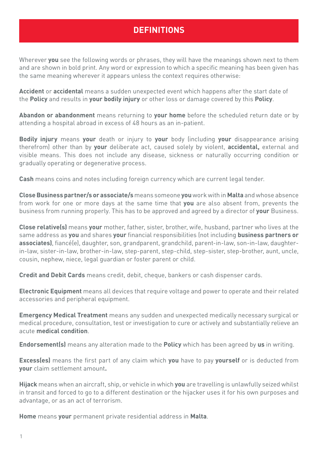# **DEFINITIONS**

<span id="page-4-0"></span>Wherever **you** see the following words or phrases, they will have the meanings shown next to them and are shown in bold print. Any word or expression to which a specific meaning has been given has the same meaning wherever it appears unless the context requires otherwise:

**Accident** or **accidental** means a sudden unexpected event which happens after the start date of the **Policy** and results in **your bodily injury** or other loss or damage covered by this **Policy**.

**Abandon or abandonment** means returning to **your home** before the scheduled return date or by attending a hospital abroad in excess of 48 hours as an in-patient.

**Bodily injury** means **your** death or injury to **your** body (including **your** disappearance arising therefrom) other than by **your** deliberate act, caused solely by violent, **accidental,** external and visible means. This does not include any disease, sickness or naturally occurring condition or gradually operating or degenerative process.

**Cash** means coins and notes including foreign currency which are current legal tender.

**Close Business partner/s or associate/s** means someone **you** work with in **Malta** and whose absence from work for one or more days at the same time that **you** are also absent from, prevents the business from running properly. This has to be approved and agreed by a director of **your** Business.

**Close relative(s)** means **your** mother, father, sister, brother, wife, husband, partner who lives at the same address as **you** and shares **your** financial responsibilities (not including **business partners or associates)**, fiancé(e), daughter, son, grandparent, grandchild, parent-in-law, son-in-law, daughterin-law, sister-in-law, brother-in-law, step-parent, step-child, step-sister, step-brother, aunt, uncle, cousin, nephew, niece, legal guardian or foster parent or child.

**Credit and Debit Cards** means credit, debit, cheque, bankers or cash dispenser cards.

**Electronic Equipment** means all devices that require voltage and power to operate and their related accessories and peripheral equipment.

**Emergency Medical Treatment** means any sudden and unexpected medically necessary surgical or medical procedure, consultation, test or investigation to cure or actively and substantially relieve an acute **medical condition**.

**Endorsement(s)** means any alteration made to the **Policy** which has been agreed by **us** in writing.

**Excess(es)** means the first part of any claim which **you** have to pay **yourself** or is deducted from **your** claim settlement amount**.**

**Hijack** means when an aircraft, ship, or vehicle in which **you** are travelling is unlawfully seized whilst in transit and forced to go to a different destination or the hijacker uses it for his own purposes and advantage, or as an act of terrorism.

**Home** means **your** permanent private residential address in **Malta**.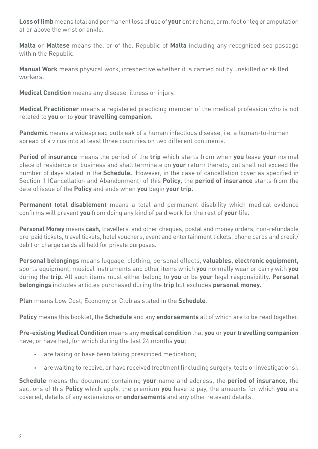**Loss of limb** means total and permanent loss of use of **your** entire hand, arm, foot or leg or amputation at or above the wrist or ankle.

**Malta** or **Maltese** means the, or of the, Republic of **Malta** including any recognised sea passage within the Republic.

**Manual Work** means physical work, irrespective whether it is carried out by unskilled or skilled workers.

**Medical Condition** means any disease, illness or injury.

**Medical Practitioner** means a registered practicing member of the medical profession who is not related to **you** or to **your travelling companion.**

**Pandemic** means a widespread outbreak of a human infectious disease, i.e. a human-to-human spread of a virus into at least three countries on two different continents.

**Period of insurance** means the period of the **trip** which starts from when **you** leave **your** normal place of residence or business and shall terminate on **your** return thereto, but shall not exceed the number of days stated in the **Schedule.** However, in the case of cancellation cover as specified in Section 1 (Cancellation and Abandonment) of this **Policy,** the **period of insurance** starts from the date of issue of the **Policy** and ends when **you** begin **your trip.**

**Permanent total disablement** means a total and permanent disability which medical evidence confirms will prevent **you** from doing any kind of paid work for the rest of **your** life.

**Personal Money** means **cash,** travellers' and other cheques, postal and money orders, non-refundable pre-paid tickets, travel tickets, hotel vouchers, event and entertainment tickets, phone cards and credit/ debit or charge cards all held for private purposes.

**Personal belongings** means luggage, clothing, personal effects, **valuables, electronic equipment,**  sports equipment, musical instruments and other items which **you** normally wear or carry with **you**  during the **trip.** All such items must either belong to **you** or be **your** legal responsibility**. Personal belongings** includes articles purchased during the **trip** but excludes **personal money.**

**Plan** means Low Cost, Economy or Club as stated in the **Schedule**.

**Policy** means this booklet, the **Schedule** and any **endorsements** all of which are to be read together.

**Pre-existing Medical Condition** means any **medical condition** that **you** or **your travelling companion**  have, or have had, for which during the last 24 months **you**:

- **•** are taking or have been taking prescribed medication;
- **•** are waiting to receive, or have received treatment (including surgery, tests or investigations).

**Schedule** means the document containing **your** name and address, the **period of insurance,** the sections of this **Policy** which apply, the premium **you** have to pay, the amounts for which **you** are covered, details of any extensions or **endorsements** and any other relevant details.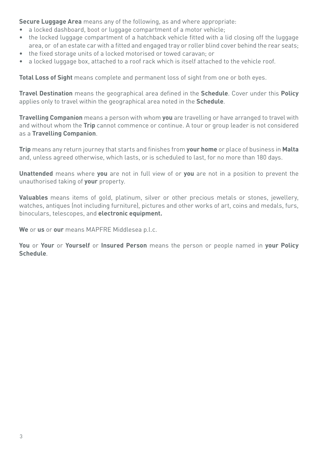**Secure Luggage Area** means any of the following, as and where appropriate:

- a locked dashboard, boot or luggage compartment of a motor vehicle;
- the locked luggage compartment of a hatchback vehicle fitted with a lid closing off the luggage area, or of an estate car with a fitted and engaged tray or roller blind cover behind the rear seats;
- the fixed storage units of a locked motorised or towed caravan; or
- a locked luggage box, attached to a roof rack which is itself attached to the vehicle roof.

**Total Loss of Sight** means complete and permanent loss of sight from one or both eyes.

**Travel Destination** means the geographical area defined in the **Schedule**. Cover under this **Policy**  applies only to travel within the geographical area noted in the **Schedule**.

**Travelling Companion** means a person with whom **you** are travelling or have arranged to travel with and without whom the **Trip** cannot commence or continue. A tour or group leader is not considered as a **Travelling Companion**.

**Trip** means any return journey that starts and finishes from **your home** or place of business in **Malta** and, unless agreed otherwise, which lasts, or is scheduled to last, for no more than 180 days.

**Unattended** means where **you** are not in full view of or **you** are not in a position to prevent the unauthorised taking of **your** property.

**Valuables** means items of gold, platinum, silver or other precious metals or stones, jewellery, watches, antiques (not including furniture), pictures and other works of art, coins and medals, furs, binoculars, telescopes, and **electronic equipment.**

**We** or **us** or **our** means MAPFRE Middlesea p.l.c.

**You** or **Your** or **Yourself** or **Insured Person** means the person or people named in **your Policy Schedule**.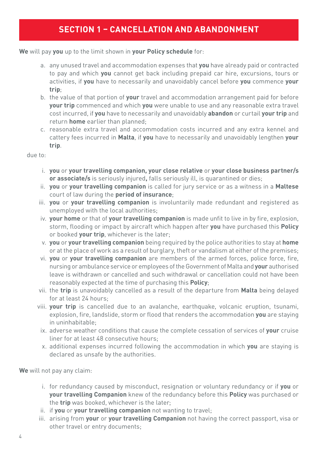# **SECTION 1 – CANCELLATION AND ABANDONMENT**

#### <span id="page-7-0"></span>**We** will pay **you** up to the limit shown in **your Policy schedule** for:

- a. any unused travel and accommodation expenses that **you** have already paid or contracted to pay and which **you** cannot get back including prepaid car hire, excursions, tours or activities, if **you** have to necessarily and unavoidably cancel before **you** commence **your trip**;
- b. the value of that portion of **your** travel and accommodation arrangement paid for before **your trip** commenced and which **you** were unable to use and any reasonable extra travel cost incurred, if **you** have to necessarily and unavoidably **abandon** or curtail **your trip** and return **home** earlier than planned;
- c. reasonable extra travel and accommodation costs incurred and any extra kennel and cattery fees incurred in **Malta**, if **you** have to necessarily and unavoidably lengthen **your trip**.

due to:

- i. **you** or **your travelling companion, your close relative** or **your close business partner/s or associate/s** is seriously injured**,** falls seriously ill, is quarantined or dies;
- ii. **you** or **your travelling companion** is called for jury service or as a witness in a **Maltese** court of law during the **period of insurance**;
- iii. **you** or **your travelling companion** is involuntarily made redundant and registered as unemployed with the local authorities;
- iv. **your home** or that of **your travelling companion** is made unfit to live in by fire, explosion, storm, flooding or impact by aircraft which happen after **you** have purchased this **Policy** or booked **your trip**, whichever is the later;
- v. **you** or **your travelling companion** being required by the police authorities to stay at **home** or at the place of work as a result of burglary, theft or vandalism at either of the premises;
- vi. **you** or **your travelling companion** are members of the armed forces, police force, fire, nursing or ambulance service or employees of the Government of Malta and **your** authorised leave is withdrawn or cancelled and such withdrawal or cancellation could not have been reasonably expected at the time of purchasing this **Policy**;
- vii. the **trip** is unavoidably cancelled as a result of the departure from **Malta** being delayed for at least 24 hours;
- viii. **your trip** is cancelled due to an avalanche, earthquake, volcanic eruption, tsunami, explosion, fire, landslide, storm or flood that renders the accommodation **you** are staying in uninhabitable;
	- ix. adverse weather conditions that cause the complete cessation of services of **your** cruise liner for at least 48 consecutive hours;
	- x. additional expenses incurred following the accommodation in which **you** are staying is declared as unsafe by the authorities.

**We** will not pay any claim:

- i. for redundancy caused by misconduct, resignation or voluntary redundancy or if **you** or **your travelling Companion** knew of the redundancy before this **Policy** was purchased or the **trip** was booked, whichever is the later;
- ii. if **you** or **your travelling companion** not wanting to travel;
- iii. arising from **your** or **your travelling Companion** not having the correct passport, visa or other travel or entry documents;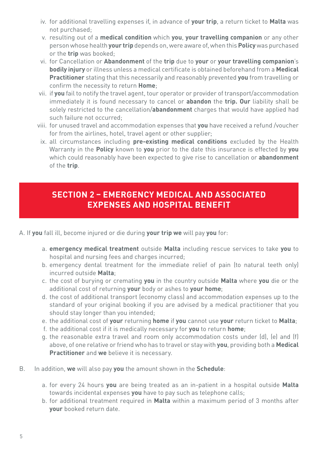- <span id="page-8-0"></span>iv. for additional travelling expenses if, in advance of **your trip**, a return ticket to **Malta** was not purchased;
- v. resulting out of a **medical condition** which **you**, **your travelling companion** or any other person whose health **your trip** depends on, were aware of, when this **Policy** was purchased or the **trip** was booked;
- vi. for Cancellation or **Abandonment** of the **trip** due to **your** or **your travelling companion**'s **bodily injury** or illness unless a medical certificate is obtained beforehand from a **Medical Practitioner** stating that this necessarily and reasonably prevented **you** from travelling or confirm the necessity to return **Home**;
- vii. if **you** fail to notify the travel agent, tour operator or provider of transport/accommodation immediately it is found necessary to cancel or **abandon** the **trip. Our** liability shall be solely restricted to the cancellation/**abandonment** charges that would have applied had such failure not occurred;
- viii. for unused travel and accommodation expenses that **you** have received a refund /voucher for from the airlines, hotel, travel agent or other supplier;
	- ix. all circumstances including **pre-existing medical conditions** excluded by the Health Warranty in the **Policy** known to **you** prior to the date this insurance is effected by **you**  which could reasonably have been expected to give rise to cancellation or **abandonment**  of the **trip**.

# **SECTION 2 – EMERGENCY MEDICAL AND ASSOCIATED EXPENSES AND HOSPITAL BENEFIT**

- A. If **you** fall ill, become injured or die during **your trip we** will pay **you** for:
	- a. **emergency medical treatment** outside **Malta** including rescue services to take **you** to hospital and nursing fees and charges incurred;
	- b. emergency dental treatment for the immediate relief of pain (to natural teeth only) incurred outside **Malta**;
	- c. the cost of burying or cremating **you** in the country outside **Malta** where **you** die or the additional cost of returning **your** body or ashes to **your home**;
	- d. the cost of additional transport (economy class) and accommodation expenses up to the standard of your original booking if you are advised by a medical practitioner that you should stay longer than you intended;
	- e. the additional cost of **your** returning **home** if **you** cannot use **your** return ticket to **Malta**;
	- f. the additional cost if it is medically necessary for **you** to return **home**;
	- g. the reasonable extra travel and room only accommodation costs under (d), (e) and (f) above, of one relative or friend who has to travel or stay with **you**, providing both a **Medical Practitioner** and **we** believe it is necessary.
- B. In addition, **we** will also pay **you** the amount shown in the **Schedule**:
	- a. for every 24 hours **you** are being treated as an in-patient in a hospital outside **Malta** towards incidental expenses **you** have to pay such as telephone calls;
	- b. for additional treatment required in **Malta** within a maximum period of 3 months after **your** booked return date.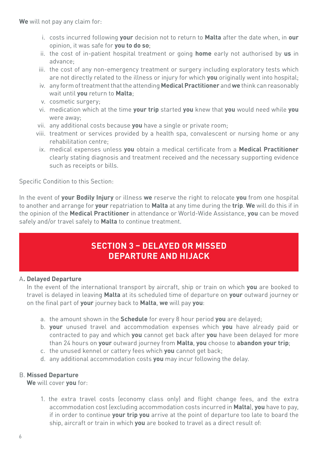<span id="page-9-0"></span>**We** will not pay any claim for:

- i. costs incurred following **your** decision not to return to **Malta** after the date when, in **our** opinion, it was safe for **you to do so**;
- ii. the cost of in-patient hospital treatment or going **home** early not authorised by **us** in advance;
- iii. the cost of any non-emergency treatment or surgery including exploratory tests which are not directly related to the illness or injury for which **you** originally went into hospital;
- iv. any form of treatment that the attending **Medical Practitioner** and **we** think can reasonably wait until **you** return to **Malta**;
- v. cosmetic surgery;
- vi. medication which at the time **your trip** started **you** knew that **you** would need while **you** were away;
- vii. any additional costs because **you** have a single or private room;
- viii. treatment or services provided by a health spa, convalescent or nursing home or any rehabilitation centre;
- ix. medical expenses unless **you** obtain a medical certificate from a **Medical Practitioner**  clearly stating diagnosis and treatment received and the necessary supporting evidence such as receipts or bills.

Specific Condition to this Section:

In the event of **your Bodily Injury** or illness **we** reserve the right to relocate **you** from one hospital to another and arrange for **your** repatriation to **Malta** at any time during the **trip**. **We** will do this if in the opinion of the **Medical Practitioner** in attendance or World-Wide Assistance, **you** can be moved safely and/or travel safely to **Malta** to continue treatment.

# **SECTION 3 – DELAYED OR MISSED DEPARTURE AND HIJACK**

# A**. Delayed Departure**

In the event of the international transport by aircraft, ship or train on which **you** are booked to travel is delayed in leaving **Malta** at its scheduled time of departure on **your** outward journey or on the final part of **your** journey back to **Malta**, **we** will pay **you**:

- a. the amount shown in the **Schedule** for every 8 hour period **you** are delayed;
- b. **your** unused travel and accommodation expenses which **you** have already paid or contracted to pay and which **you** cannot get back after **you** have been delayed for more than 24 hours on **your** outward journey from **Malta**, **you** choose to **abandon your trip**;
- c. the unused kennel or cattery fees which **you** cannot get back;
- d. any additional accommodation costs **you** may incur following the delay.

# B. **Missed Departure**

**We** will cover **you** for:

1. the extra travel costs (economy class only) and flight change fees, and the extra accommodation cost (excluding accommodation costs incurred in **Malta**), **you** have to pay, if in order to continue **your trip you** arrive at the point of departure too late to board the ship, aircraft or train in which **you** are booked to travel as a direct result of: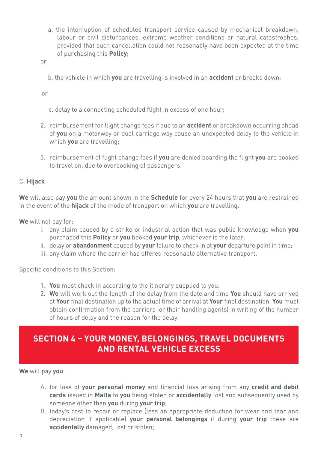<span id="page-10-0"></span>a. the interruption of scheduled transport service caused by mechanical breakdown, labour or civil disturbances, extreme weather conditions or natural catastrophes, provided that such cancellation could not reasonably have been expected at the time of purchasing this **Policy**;

or

b. the vehicle in which **you** are travelling is involved in an **accident** or breaks down;

or

- c. delay to a connecting scheduled flight in excess of one hour;
- 2. reimbursement for flight change fees if due to an **accident** or breakdown occurring ahead of **you** on a motorway or dual carriage way cause an unexpected delay to the vehicle in which **you** are travelling;
- 3. reimbursement of flight change fees if **you** are denied boarding the flight **you** are booked to travel on, due to overbooking of passengers.

### C. **Hijack**

**We** will also pay **you** the amount shown in the **Schedule** for every 24 hours that **you** are restrained in the event of the **hijack** of the mode of transport on which **you** are travelling.

**We** will not pay for:

- i. any claim caused by a strike or industrial action that was public knowledge when **you** purchased this **Policy** or **you** booked **your trip**, whichever is the later;
- ii. delay or **abandonment** caused by **your** failure to check in at **your** departure point in time;
- iii. any claim where the carrier has offered reasonable alternative transport.

Specific conditions to this Section:

- 1. **You** must check in according to the itinerary supplied to you.
- 2. **We** will work out the length of the delay from the date and time **You** should have arrived at **Your** final destination up to the actual time of arrival at **Your** final destination. **You** must obtain confirmation from the carriers (or their handling agents) in writing of the number of hours of delay and the reason for the delay.

# **SECTION 4 – YOUR MONEY, BELONGINGS, TRAVEL DOCUMENTS AND RENTAL VEHICLE EXCESS**

**We** will pay **you**:

- A. for loss of **your personal money** and financial loss arising from any **credit and debit cards** issued in **Malta** to **you** being stolen or **accidentally** lost and subsequently used by someone other than **you** during **your trip**;
- B. today's cost to repair or replace (less an appropriate deduction for wear and tear and depreciation if applicable) **your personal belongings** if during **your trip** these are **accidentally** damaged, lost or stolen;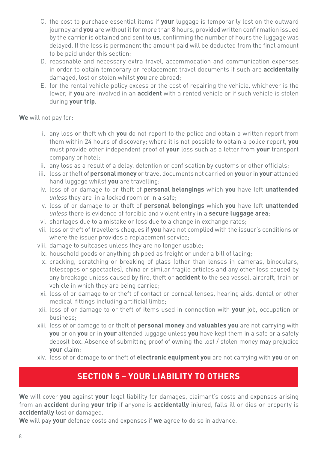- <span id="page-11-0"></span>C. the cost to purchase essential items if **your** luggage is temporarily lost on the outward journey and **you** are without it for more than 8 hours, provided written confirmation issued by the carrier is obtained and sent to **us**, confirming the number of hours the luggage was delayed. If the loss is permanent the amount paid will be deducted from the final amount to be paid under this section;
- D. reasonable and necessary extra travel, accommodation and communication expenses in order to obtain temporary or replacement travel documents if such are **accidentally** damaged, lost or stolen whilst **you** are abroad;
- E. for the rental vehicle policy excess or the cost of repairing the vehicle, whichever is the lower, if **you** are involved in an **accident** with a rented vehicle or if such vehicle is stolen during **your trip**.

**We** will not pay for:

- i. any loss or theft which **you** do not report to the police and obtain a written report from them within 24 hours of discovery; where it is not possible to obtain a police report, **you** must provide other independent proof of **your** loss such as a letter from **your** transport company or hotel;
- ii. any loss as a result of a delay, detention or confiscation by customs or other officials;
- iii. loss or theft of **personal money** or travel documents not carried on **you** or in **your** attended hand luggage whilst **you** are travelling;
- iv. loss of or damage to or theft of **personal belongings** which **you** have left **unattended**  *unless* they are in a locked room or in a safe;
- v. loss of or damage to or theft of **personal belongings** which **you** have left **unattended**  *unless* there is evidence of forcible and violent entry in a **secure luggage area**;
- vi. shortages due to a mistake or loss due to a change in exchange rates;
- vii. loss or theft of travellers cheques if **you** have not complied with the issuer's conditions or where the issuer provides a replacement service;
- viii. damage to suitcases unless they are no longer usable;
- ix. household goods or anything shipped as freight or under a bill of lading;
- x. cracking, scratching or breaking of glass (other than lenses in cameras, binoculars, telescopes or spectacles), china or similar fragile articles and any other loss caused by any breakage unless caused by fire, theft or **accident** to the sea vessel, aircraft, train or vehicle in which they are being carried;
- xi. loss of or damage to or theft of contact or corneal lenses, hearing aids, dental or other medical fittings including artificial limbs;
- xii. loss of or damage to or theft of items used in connection with **your** job, occupation or business;
- xiii. loss of or damage to or theft of **personal money** and **valuables you** are not carrying with **you** or on **you** or in **your** attended luggage unless **you** have kept them in a safe or a safety deposit box. Absence of submitting proof of owning the lost / stolen money may prejudice **your** claim;
- xiv. loss of or damage to or theft of **electronic equipment you** are not carrying with **you** or on

# **SECTION 5 – YOUR LIABILITY TO OTHERS**

**We** will cover **you** against **your** legal liability for damages, claimant's costs and expenses arising from an **accident** during **your trip** if anyone is **accidentally** injured, falls ill or dies or property is **accidentally** lost or damaged.

**We** will pay **your** defense costs and expenses if **we** agree to do so in advance.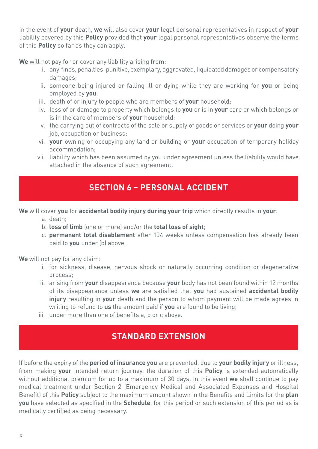<span id="page-12-0"></span>In the event of **your** death, **we** will also cover **your** legal personal representatives in respect of **your** liability covered by this **Policy** provided that **your** legal personal representatives observe the terms of this **Policy** so far as they can apply.

**We** will not pay for or cover any liability arising from:

- i. any fines, penalties, punitive, exemplary, aggravated, liquidated damages or compensatory damages;
- ii. someone being injured or falling ill or dying while they are working for **you** or being employed by **you**;
- iii. death of or injury to people who are members of **your** household;
- iv. loss of or damage to property which belongs to **you** or is in **your** care or which belongs or is in the care of members of **your** household;
- v. the carrying out of contracts of the sale or supply of goods or services or **your** doing **your** job, occupation or business;
- vi. **your** owning or occupying any land or building or **your** occupation of temporary holiday accommodation;
- vii. liability which has been assumed by you under agreement unless the liability would have attached in the absence of such agreement.

# **SECTION 6 – PERSONAL ACCIDENT**

**We** will cover **you** for **accidental bodily injury during your trip** which directly results in **your**:

- a. death;
- b. **loss of limb** (one or more) and/or the **total loss of sight**;
- c. **permanent total disablement** after 104 weeks unless compensation has already been paid to **you** under (b) above.

**We** will not pay for any claim:

- i. for sickness, disease, nervous shock or naturally occurring condition or degenerative process;
- ii. arising from **your** disappearance because **your** body has not been found within 12 months of its disappearance unless **we** are satisfied that **you** had sustained **accidental bodily injury** resulting in **your** death and the person to whom payment will be made agrees in writing to refund to **us** the amount paid if **you** are found to be living;
- iii. under more than one of benefits a, b or c above.

# **STANDARD EXTENSION**

If before the expiry of the **period of insurance you** are prevented, due to **your bodily injury** or illness, from making **your** intended return journey, the duration of this **Policy** is extended automatically without additional premium for up to a maximum of 30 days. In this event **we** shall continue to pay medical treatment under Section 2 (Emergency Medical and Associated Expenses and Hospital Benefit) of this **Policy** subject to the maximum amount shown in the Benefits and Limits for the **plan you** have selected as specified in the **Schedule**, for this period or such extension of this period as is medically certified as being necessary.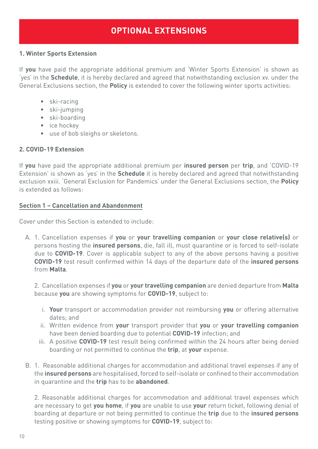# **OPTIONAL EXTENSIONS**

# <span id="page-13-0"></span>**1. Winter Sports Extension**

If **you** have paid the appropriate additional premium and 'Winter Sports Extension' is shown as 'yes' in the **Schedule**, it is hereby declared and agreed that notwithstanding exclusion xv. under the General Exclusions section, the **Policy** is extended to cover the following winter sports activities:

- ski-racing
- ski-jumping
- ski-boarding
- ice hockey
- use of bob sleighs or skeletons.

# **2. COVID-19 Extension**

If **you** have paid the appropriate additional premium per **insured person** per **trip**, and 'COVID-19 Extension' is shown as 'yes' in the **Schedule** it is hereby declared and agreed that notwithstanding exclusion xxiii. 'General Exclusion for Pandemics' under the General Exclusions section, the **Policy** is extended as follows:

### **Section 1 – Cancellation and Abandonment**

Cover under this Section is extended to include:

A. 1. Cancellation expenses if **you** or **your travelling companion** or **your close relative(s)** or persons hosting the **insured persons**, die, fall ill, must quarantine or is forced to self-isolate due to **COVID-19**. Cover is applicable subject to any of the above persons having a positive **COVID-19** test result confirmed within 14 days of the departure date of the **insured persons** from **Malta**.

2. Cancellation expenses if **you** or **your travelling companion** are denied departure from **Malta** because **you** are showing symptoms for **COVID-19**, subject to:

- i. **Your** transport or accommodation provider not reimbursing **you** or offering alternative dates; and
- ii. Written evidence from **your** transport provider that **you** or **your travelling companion** have been denied boarding due to potential **COVID-19** infection; and
- iii. A positive **COVID-19** test result being confirmed within the 24 hours after being denied boarding or not permitted to continue the **trip**, at **your** expense.
- B. 1. Reasonable additional charges for accommodation and additional travel expenses if any of the **insured persons** are hospitalised, forced to self-isolate or confined to their accommodation in quarantine and the **trip** has to be **abandoned**.

2. Reasonable additional charges for accommodation and additional travel expenses which are necessary to get **you home**, if **you** are unable to use **your** return ticket, following denial of boarding at departure or not being permitted to continue the **trip** due to the **insured persons** testing positive or showing symptoms for **COVID-19**, subject to: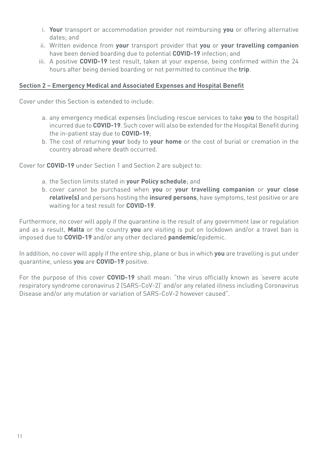- i. **Your** transport or accommodation provider not reimbursing **you** or offering alternative dates; and
- ii. Written evidence from **your** transport provider that **you** or **your travelling companion**  have been denied boarding due to potential **COVID-19** infection; and
- iii. A positive **COVID-19** test result, taken at your expense, being confirmed within the 24 hours after being denied boarding or not permitted to continue the **trip**.

# **Section 2 – Emergency Medical and Associated Expenses and Hospital Benefit**

Cover under this Section is extended to include:

- a. any emergency medical expenses (including rescue services to take **you** to the hospital) incurred due to **COVID-19**. Such cover will also be extended for the Hospital Benefit during the in-patient stay due to **COVID-19**;
- b. The cost of returning **your** body to **your home** or the cost of burial or cremation in the country abroad where death occurred.

Cover for **COVID-19** under Section 1 and Section 2 are subject to:

- a. the Section limits stated in **your Policy schedule**; and
- b. cover cannot be purchased when **you** or **your travelling companion** or **your close relative(s)** and persons hosting the **insured persons**, have symptoms, test positive or are waiting for a test result for **COVID-19**.

Furthermore, no cover will apply if the quarantine is the result of any government law or regulation and as a result, **Malta** or the country **you** are visiting is put on lockdown and/or a travel ban is imposed due to **COVID-19** and/or any other declared **pandemic**/epidemic.

In addition, no cover will apply if the entire ship, plane or bus in which **you** are travelling is put under quarantine, unless **you** are **COVID-19** positive.

For the purpose of this cover **COVID-19** shall mean: "the virus officially known as 'severe acute respiratory syndrome coronavirus 2 (SARS-CoV-2)' and/or any related illness including Coronavirus Disease and/or any mutation or variation of SARS-CoV-2 however caused".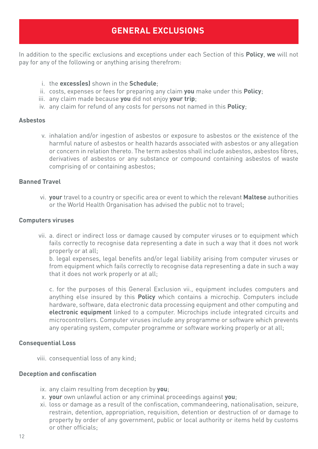# **GENERAL EXCLUSIONS**

<span id="page-15-0"></span>In addition to the specific exclusions and exceptions under each Section of this **Policy**, **we** will not pay for any of the following or anything arising therefrom:

- i. the **excess(es)** shown in the **Schedule**;
- ii. costs, expenses or fees for preparing any claim **you** make under this **Policy**;
- iii. any claim made because **you** did not enjoy **your trip**;
- iv. any claim for refund of any costs for persons not named in this **Policy**;

#### **Asbestos**

v. inhalation and/or ingestion of asbestos or exposure to asbestos or the existence of the harmful nature of asbestos or health hazards associated with asbestos or any allegation or concern in relation thereto. The term asbestos shall include asbestos, asbestos fibres, derivatives of asbestos or any substance or compound containing asbestos of waste comprising of or containing asbestos;

#### **Banned Travel**

vi. **your** travel to a country or specific area or event to which the relevant **Maltese** authorities or the World Health Organisation has advised the public not to travel;

#### **Computers viruses**

vii. a. direct or indirect loss or damage caused by computer viruses or to equipment which fails correctly to recognise data representing a date in such a way that it does not work properly or at all;

b. legal expenses, legal benefits and/or legal liability arising from computer viruses or from equipment which fails correctly to recognise data representing a date in such a way that it does not work properly or at all;

c. for the purposes of this General Exclusion vii., equipment includes computers and anything else insured by this **Policy** which contains a microchip. Computers include hardware, software, data electronic data processing equipment and other computing and **electronic equipment** linked to a computer. Microchips include integrated circuits and microcontrollers. Computer viruses include any programme or software which prevents any operating system, computer programme or software working properly or at all;

#### **Consequential Loss**

viii. consequential loss of any kind;

#### **Deception and confiscation**

- ix. any claim resulting from deception by **you**;
- x. **your** own unlawful action or any criminal proceedings against **you**;
- xi. loss or damage as a result of the confiscation, commandeering, nationalisation, seizure, restrain, detention, appropriation, requisition, detention or destruction of or damage to property by order of any government, public or local authority or items held by customs or other officials;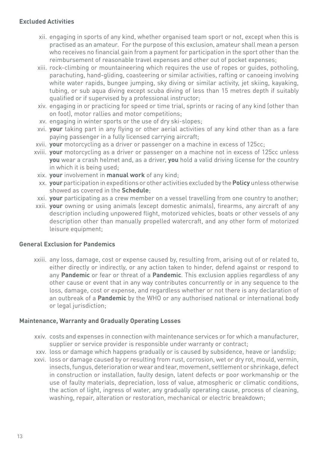### **Excluded Activities**

- xii. engaging in sports of any kind, whether organised team sport or not, except when this is practised as an amateur. For the purpose of this exclusion, amateur shall mean a person who receives no financial gain from a payment for participation in the sport other than the reimbursement of reasonable travel expenses and other out of pocket expenses;
- xiii. rock-climbing or mountaineering which requires the use of ropes or guides, potholing, parachuting, hand-gliding, coasteering or similar activities, rafting or canoeing involving white water rapids, bungee jumping, sky diving or similar activity, jet skiing, kayaking, tubing, or sub aqua diving except scuba diving of less than 15 metres depth if suitably qualified or if supervised by a professional instructor;
- xiv. engaging in or practicing for speed or time trial, sprints or racing of any kind (other than on foot), motor rallies and motor competitions;
- xv. engaging in winter sports or the use of dry ski-slopes;
- xvi. **your** taking part in any flying or other aerial activities of any kind other than as a fare paying passenger in a fully licensed carrying aircraft;
- xvii. **your** motorcycling as a driver or passenger on a machine in excess of 125cc;
- xviii. **your** motorcycling as a driver or passenger on a machine not in excess of 125cc unless **you** wear a crash helmet and, as a driver, **you** hold a valid driving license for the country in which it is being used;
- xix. **your** involvement in **manual work** of any kind;
- xx. **your** participation in expeditions or other activities excluded by the **Policy** unless otherwise showed as covered in the **Schedule**;
- xxi. **your** participating as a crew member on a vessel travelling from one country to another;
- xxii. **your** owning or using animals (except domestic animals), firearms, any aircraft of any description including unpowered flight, motorized vehicles, boats or other vessels of any description other than manually propelled watercraft, and any other form of motorized leisure equipment;

# **General Exclusion for Pandemics**

xxiii. any loss, damage, cost or expense caused by, resulting from, arising out of or related to, either directly or indirectly, or any action taken to hinder, defend against or respond to any **Pandemic** or fear or threat of a **Pandemic**. This exclusion applies regardless of any other cause or event that in any way contributes concurrently or in any sequence to the loss, damage, cost or expense, and regardless whether or not there is any declaration of an outbreak of a **Pandemic** by the WHO or any authorised national or international body or legal jurisdiction;

# **Maintenance, Warranty and Gradually Operating Losses**

- xxiv. costs and expenses in connection with maintenance services or for which a manufacturer, supplier or service provider is responsible under warranty or contract;
- xxv. loss or damage which happens gradually or is caused by subsidence, heave or landslip;
- xxvi. loss or damage caused by or resulting from rust, corrosion, wet or dry rot, mould, vermin, insects, fungus, deterioration or wear and tear, movement, settlement or shrinkage, defect in construction or installation, faulty design, latent defects or poor workmanship or the use of faulty materials, depreciation, loss of value, atmospheric or climatic conditions, the action of light, ingress of water, any gradually operating cause, process of cleaning, washing, repair, alteration or restoration, mechanical or electric breakdown;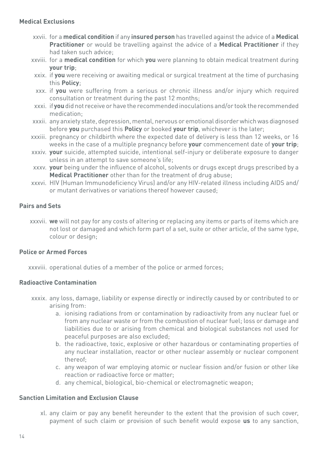#### **Medical Exclusions**

- xxvii. for a **medical condition** if any **insured person** has travelled against the advice of a **Medical Practitioner** or would be travelling against the advice of a **Medical Practitioner** if they had taken such advice;
- xxviii. for a **medical condition** for which **you** were planning to obtain medical treatment during **your trip**;
- xxix. if **you** were receiving or awaiting medical or surgical treatment at the time of purchasing this **Policy**;
- xxx. if **you** were suffering from a serious or chronic illness and/or injury which required consultation or treatment during the past 12 months;
- xxxi. if **you** did not receive or have the recommended inoculations and/or took the recommended medication;
- xxxii. any anxiety state, depression, mental, nervous or emotional disorder which was diagnosed before **you** purchased this **Policy** or booked **your trip**, whichever is the later;
- xxxiii. pregnancy or childbirth where the expected date of delivery is less than 12 weeks, or 16 weeks in the case of a multiple pregnancy before **your** commencement date of **your trip**;
- xxxiv. **your** suicide, attempted suicide, intentional self-injury or deliberate exposure to danger unless in an attempt to save someone's life;
- xxxv. **your** being under the influence of alcohol, solvents or drugs except drugs prescribed by a **Medical Practitioner** other than for the treatment of drug abuse;
- xxxvi. HIV (Human Immunodeficiency Virus) and/or any HIV-related illness including AIDS and/ or mutant derivatives or variations thereof however caused;

### **Pairs and Sets**

xxxvii. **we** will not pay for any costs of altering or replacing any items or parts of items which are not lost or damaged and which form part of a set, suite or other article, of the same type, colour or design;

#### **Police or Armed Forces**

xxxviii. operational duties of a member of the police or armed forces;

# **Radioactive Contamination**

- xxxix. any loss, damage, liability or expense directly or indirectly caused by or contributed to or arising from:
	- a. ionising radiations from or contamination by radioactivity from any nuclear fuel or from any nuclear waste or from the combustion of nuclear fuel; loss or damage and liabilities due to or arising from chemical and biological substances not used for peaceful purposes are also excluded;
	- b. the radioactive, toxic, explosive or other hazardous or contaminating properties of any nuclear installation, reactor or other nuclear assembly or nuclear component thereof;
	- c. any weapon of war employing atomic or nuclear fission and/or fusion or other like reaction or radioactive force or matter;
	- d. any chemical, biological, bio-chemical or electromagnetic weapon;

#### **Sanction Limitation and Exclusion Clause**

xl. any claim or pay any benefit hereunder to the extent that the provision of such cover, payment of such claim or provision of such benefit would expose **us** to any sanction,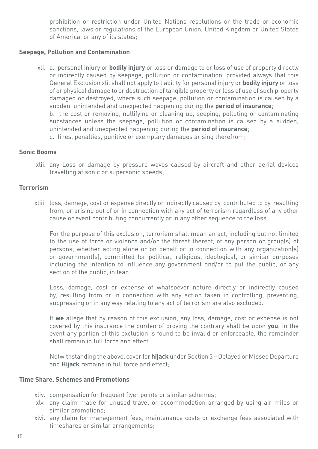prohibition or restriction under United Nations resolutions or the trade or economic sanctions, laws or regulations of the European Union, United Kingdom or United States of America, or any of its states;

### **Seepage, Pollution and Contamination**

xli. a. personal injury or **bodily injury** or loss or damage to or loss of use of property directly or indirectly caused by seepage, pollution or contamination, provided always that this General Exclusion xli. shall not apply to liability for personal injury or **bodily injury** or loss of or physical damage to or destruction of tangible property or loss of use of such property damaged or destroyed, where such seepage, pollution or contamination is caused by a sudden, unintended and unexpected happening during the **period of insurance**; b. the cost or removing, nullifying or cleaning up, seeping, polluting or contaminating substances unless the seepage, pollution or contamination is caused by a sudden, unintended and unexpected happening during the **period of insurance**; c. fines, penalties, punitive or exemplary damages arising therefrom;

#### **Sonic Booms**

xlii. any Loss or damage by pressure waves caused by aircraft and other aerial devices travelling at sonic or supersonic speeds;

#### **Terrorism**

xliii. loss, damage, cost or expense directly or indirectly caused by, contributed to by, resulting from, or arising out of or in connection with any act of terrorism regardless of any other cause or event contributing concurrently or in any other sequence to the loss.

For the purpose of this exclusion, terrorism shall mean an act, including but not limited to the use of force or violence and/or the threat thereof, of any person or group(s) of persons, whether acting alone or on behalf or in connection with any organization(s) or government(s), committed for political, religious, ideological, or similar purposes including the intention to influence any government and/or to put the public, or any section of the public, in fear.

Loss, damage, cost or expense of whatsoever nature directly or indirectly caused by, resulting from or in connection with any action taken in controlling, preventing, suppressing or in any way relating to any act of terrorism are also excluded.

If **we** allege that by reason of this exclusion, any loss, damage, cost or expense is not covered by this insurance the burden of proving the contrary shall be upon **you**. In the event any portion of this exclusion is found to be invalid or enforceable, the remainder shall remain in full force and effect.

Notwithstanding the above, cover for **hijack** under Section 3 – Delayed or Missed Departure and **Hijack** remains in full force and effect;

#### **Time Share, Schemes and Promotions**

- xliv. compensation for frequent flyer points or similar schemes;
- xlv. any claim made for unused travel or accommodation arranged by using air miles or similar promotions;
- xlvi. any claim for management fees, maintenance costs or exchange fees associated with timeshares or similar arrangements;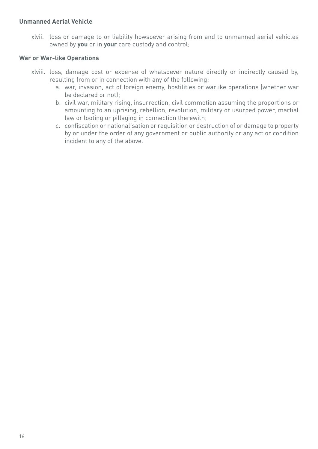### **Unmanned Aerial Vehicle**

xlvii. loss or damage to or liability howsoever arising from and to unmanned aerial vehicles owned by **you** or in **your** care custody and control;

#### **War or War-like Operations**

- xlviii. loss, damage cost or expense of whatsoever nature directly or indirectly caused by, resulting from or in connection with any of the following:
	- a. war, invasion, act of foreign enemy, hostilities or warlike operations (whether war be declared or not);
	- b. civil war, military rising, insurrection, civil commotion assuming the proportions or amounting to an uprising, rebellion, revolution, military or usurped power, martial law or looting or pillaging in connection therewith;
	- c. confiscation or nationalisation or requisition or destruction of or damage to property by or under the order of any government or public authority or any act or condition incident to any of the above.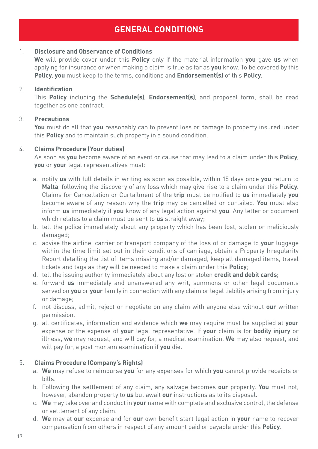# **GENERAL CONDITIONS**

# <span id="page-20-0"></span>1. **Disclosure and Observance of Conditions**

**We** will provide cover under this **Policy** only if the material information **you** gave **us** when applying for insurance or when making a claim is true as far as **you** know. To be covered by this **Policy**, **you** must keep to the terms, conditions and **Endorsement(s)** of this **Policy**.

# 2. **Identification**

This **Policy** including the **Schedule(s)**, **Endorsement(s)**, and proposal form, shall be read together as one contract.

# 3. **Precautions**

**You** must do all that **you** reasonably can to prevent loss or damage to property insured under this **Policy** and to maintain such property in a sound condition.

# 4. **Claims Procedure (Your duties)**

As soon as **you** become aware of an event or cause that may lead to a claim under this **Policy**, **you** or **your** legal representatives must:

- a. notify **us** with full details in writing as soon as possible, within 15 days once **you** return to **Malta**, following the discovery of any loss which may give rise to a claim under this **Policy**. Claims for Cancellation or Curtailment of the **trip** must be notified to **us** immediately **you** become aware of any reason why the **trip** may be cancelled or curtailed. **You** must also inform **us** immediately if **you** know of any legal action against **you**. Any letter or document which relates to a claim must be sent to **us** straight away;
- b. tell the police immediately about any property which has been lost, stolen or maliciously damaged;
- c. advise the airline, carrier or transport company of the loss of or damage to **your** luggage within the time limit set out in their conditions of carriage, obtain a Property Irregularity Report detailing the list of items missing and/or damaged, keep all damaged items, travel tickets and tags as they will be needed to make a claim under this **Policy**;
- d. tell the issuing authority immediately about any lost or stolen **credit and debit cards**;
- e. forward **us** immediately and unanswered any writ, summons or other legal documents served on **you** or **your** family in connection with any claim or legal liability arising from injury or damage;
- f. not discuss, admit, reject or negotiate on any claim with anyone else without **our** written permission.
- g. all certificates, information and evidence which **we** may require must be supplied at **your** expense or the expense of **your** legal representative. If **your** claim is for **bodily injury** or illness, **we** may request, and will pay for, a medical examination. **We** may also request, and will pay for, a post mortem examination if **you** die.

# 5. **Claims Procedure (Company's Rights)**

- a. **We** may refuse to reimburse **you** for any expenses for which **you** cannot provide receipts or bills.
- b. Following the settlement of any claim, any salvage becomes **our** property. **You** must not, however, abandon property to **us** but await **our** instructions as to its disposal.
- c. **We** may take over and conduct in **your** name with complete and exclusive control, the defense or settlement of any claim.
- d. **We** may at **our** expense and for **our** own benefit start legal action in **your** name to recover compensation from others in respect of any amount paid or payable under this **Policy**.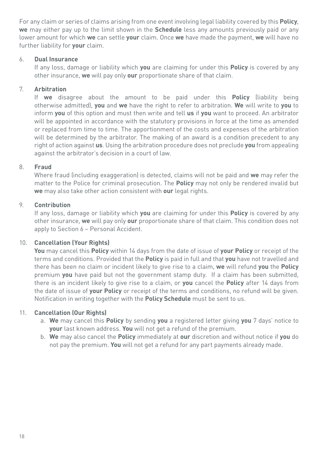For any claim or series of claims arising from one event involving legal liability covered by this **Policy**, **we** may either pay up to the limit shown in the **Schedule** less any amounts previously paid or any lower amount for which **we** can settle **your** claim. Once **we** have made the payment, **we** will have no further liability for **your** claim.

# 6. **Dual Insurance**

If any loss, damage or liability which **you** are claiming for under this **Policy** is covered by any other insurance, **we** will pay only **our** proportionate share of that claim.

# 7. **Arbitration**

If **we** disagree about the amount to be paid under this **Policy** (liability being otherwise admitted), **you** and **we** have the right to refer to arbitration. **We** will write to **you** to inform **you** of this option and must then write and tell **us** if **you** want to proceed. An arbitrator will be appointed in accordance with the statutory provisions in force at the time as amended or replaced from time to time. The apportionment of the costs and expenses of the arbitration will be determined by the arbitrator. The making of an award is a condition precedent to any right of action against **us**. Using the arbitration procedure does not preclude **you** from appealing against the arbitrator's decision in a court of law.

# 8. **Fraud**

Where fraud (including exaggeration) is detected, claims will not be paid and **we** may refer the matter to the Police for criminal prosecution. The **Policy** may not only be rendered invalid but **we** may also take other action consistent with **our** legal rights.

# 9. **Contribution**

If any loss, damage or liability which **you** are claiming for under this **Policy** is covered by any other insurance, **we** will pay only **our** proportionate share of that claim. This condition does not apply to Section 6 – Personal Accident.

# 10. **Cancellation (Your Rights)**

**You** may cancel this **Policy** within 14 days from the date of issue of **your Policy** or receipt of the terms and conditions. Provided that the **Policy** is paid in full and that **you** have not travelled and there has been no claim or incident likely to give rise to a claim, **we** will refund **you** the **Policy** premium **you** have paid but not the government stamp duty. If a claim has been submitted, there is an incident likely to give rise to a claim, or **you** cancel the **Policy** after 14 days from the date of issue of **your Policy** or receipt of the terms and conditions, no refund will be given. Notification in writing together with the **Policy Schedule** must be sent to us.

# 11. **Cancellation (Our Rights)**

- a. **We** may cancel this **Policy** by sending **you** a registered letter giving **you** 7 days' notice to **your** last known address. **You** will not get a refund of the premium.
- b. **We** may also cancel the **Policy** immediately at **our** discretion and without notice if **you** do not pay the premium. **You** will not get a refund for any part payments already made.